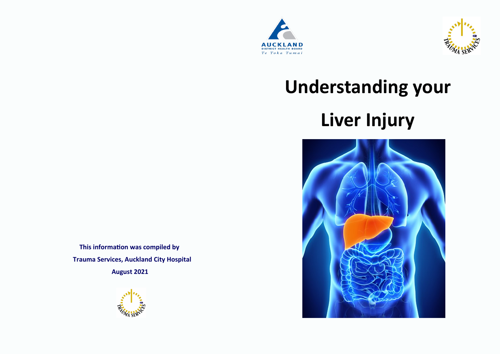



# **Understanding your Liver Injury**



 **This information was compiled by Trauma Services, Auckland City Hospital**

 **August 2021**

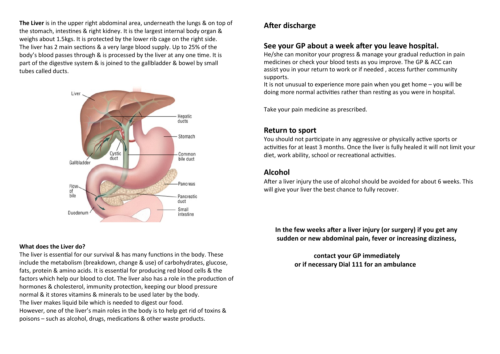**The Liver** is in the upper right abdominal area, underneath the lungs & on top of the stomach, intestines & right kidney. It is the largest internal body organ & weighs about 1.5kgs. It is protected by the lower rib cage on the right side. The liver has 2 main sections & a very large blood supply. Up to 25% of the body's blood passes through & is processed by the liver at any one time. It is part of the digestive system & is joined to the gallbladder & bowel by small tubes called ducts.



#### **What does the Liver do?**

The liver is essential for our survival & has many functions in the body. These include the metabolism (breakdown, change & use) of carbohydrates, glucose, fats, protein & amino acids. It is essential for producing red blood cells & the factors which help our blood to clot. The liver also has a role in the production of hormones & cholesterol, immunity protection, keeping our blood pressure normal & it stores vitamins & minerals to be used later by the body. The liver makes liquid bile which is needed to digest our food. However, one of the liver's main roles in the body is to help get rid of toxins & poisons – such as alcohol, drugs, medications & other waste products.

## **After discharge**

# **See your GP about a week after you leave hospital.**

He/she can monitor your progress & manage your gradual reduction in pain medicines or check your blood tests as you improve. The GP & ACC can assist you in your return to work or if needed , access further community supports.

It is not unusual to experience more pain when you get home – you will be doing more normal activities rather than resting as you were in hospital.

Take your pain medicine as prescribed.

## **Return to sport**

You should not participate in any aggressive or physically active sports or activities for at least 3 months. Once the liver is fully healed it will not limit your diet, work ability, school or recreational activities.

## **Alcohol**

After a liver injury the use of alcohol should be avoided for about 6 weeks. This will give your liver the best chance to fully recover.

 **In the few weeks after a liver injury (or surgery) if you get any sudden or new abdominal pain, fever or increasing dizziness,**

## **contact your GP immediately or if necessary Dial 111 for an ambulance**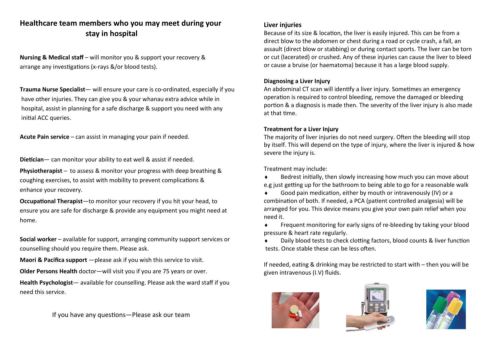# **Healthcare team members who you may meet during your stay in hospital**

**Nursing & Medical staff** – will monitor you & support your recovery & arrange any investigations (x-rays &/or blood tests).

**Trauma Nurse Specialist**— will ensure your care is co-ordinated, especially if you have other injuries. They can give you & your whanau extra advice while in hospital, assist in planning for a safe discharge & support you need with any initial ACC queries.

**Acute Pain service** – can assist in managing your pain if needed.

**Dietician**— can monitor your ability to eat well & assist if needed.

**Physiotherapist** – to assess & monitor your progress with deep breathing & coughing exercises, to assist with mobility to prevent complications & enhance your recovery.

**Occupational Therapist**—to monitor your recovery if you hit your head, to ensure you are safe for discharge & provide any equipment you might need at home.

**Social worker** – available for support, arranging community support services or counselling should you require them. Please ask.

**Maori & Pacifica support** — please ask if you wish this service to visit.

**Older Persons Health** doctor—will visit you if you are 75 years or over.

**Health Psychologist**— available for counselling. Please ask the ward staff if you need this service.

If you have any questions—Please ask our team

#### **Liver injuries**

Because of its size & location, the liver is easily injured. This can be from a direct blow to the abdomen or chest during a road or cycle crash, a fall, an assault (direct blow or stabbing) or during contact sports. The liver can be torn or cut (lacerated) or crushed. Any of these injuries can cause the liver to bleed or cause a bruise (or haematoma) because it has a large blood supply.

#### **Diagnosing a Liver Injury**

An abdominal CT scan will identify a liver injury. Sometimes an emergency operation is required to control bleeding, remove the damaged or bleeding portion & a diagnosis is made then. The severity of the liver injury is also made at that time.

#### **Treatment for a Liver Injury**

The majority of liver injuries do not need surgery. Often the bleeding will stop by itself. This will depend on the type of injury, where the liver is injured & how severe the injury is.

Treatment may include:

- Bedrest initially, then slowly increasing how much you can move about e.g just getting up for the bathroom to being able to go for a reasonable walk
- Good pain medication, either by mouth or intravenously (IV) or a combination of both. If needed, a PCA (patient controlled analgesia) will be arranged for you. This device means you give your own pain relief when you need it.
- Frequent monitoring for early signs of re-bleeding by taking your blood pressure & heart rate regularly.
- Daily blood tests to check clotting factors, blood counts & liver function tests. Once stable these can be less often.

If needed, eating & drinking may be restricted to start with – then you will be given intravenous (I.V) fluids.